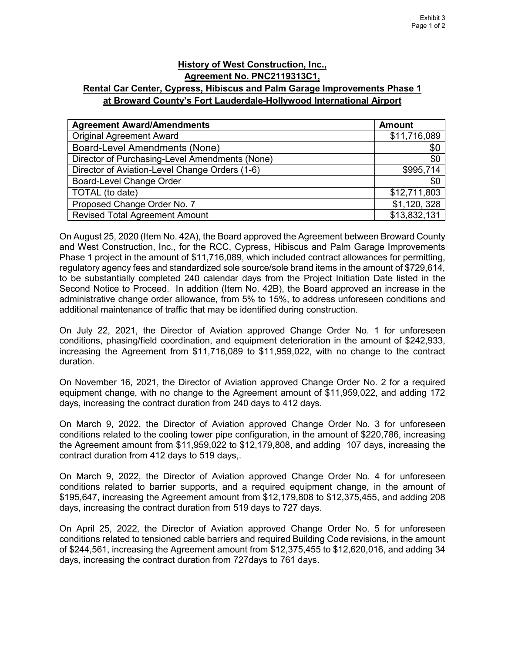## **History of West Construction, Inc., Agreement No. PNC2119313C1, Rental Car Center, Cypress, Hibiscus and Palm Garage Improvements Phase 1**

## **at Broward County's Fort Lauderdale-Hollywood International Airport**

| <b>Agreement Award/Amendments</b>              | <b>Amount</b> |
|------------------------------------------------|---------------|
| <b>Original Agreement Award</b>                | \$11,716,089  |
| <b>Board-Level Amendments (None)</b>           | \$0           |
| Director of Purchasing-Level Amendments (None) | \$0           |
| Director of Aviation-Level Change Orders (1-6) | \$995,714     |
| Board-Level Change Order                       | \$0           |
| TOTAL (to date)                                | \$12,711,803  |
| Proposed Change Order No. 7                    | \$1,120,328   |
| <b>Revised Total Agreement Amount</b>          | \$13,832,131  |

On August 25, 2020 (Item No. 42A), the Board approved the Agreement between Broward County and West Construction, Inc., for the RCC, Cypress, Hibiscus and Palm Garage Improvements Phase 1 project in the amount of \$11,716,089, which included contract allowances for permitting, regulatory agency fees and standardized sole source/sole brand items in the amount of \$729,614, to be substantially completed 240 calendar days from the Project Initiation Date listed in the Second Notice to Proceed. In addition (Item No. 42B), the Board approved an increase in the administrative change order allowance, from 5% to 15%, to address unforeseen conditions and additional maintenance of traffic that may be identified during construction.

On July 22, 2021, the Director of Aviation approved Change Order No. 1 for unforeseen conditions, phasing/field coordination, and equipment deterioration in the amount of \$242,933, increasing the Agreement from \$11,716,089 to \$11,959,022, with no change to the contract duration.

On November 16, 2021, the Director of Aviation approved Change Order No. 2 for a required equipment change, with no change to the Agreement amount of \$11,959,022, and adding 172 days, increasing the contract duration from 240 days to 412 days.

On March 9, 2022, the Director of Aviation approved Change Order No. 3 for unforeseen conditions related to the cooling tower pipe configuration, in the amount of \$220,786, increasing the Agreement amount from \$11,959,022 to \$12,179,808, and adding 107 days, increasing the contract duration from 412 days to 519 days,.

On March 9, 2022, the Director of Aviation approved Change Order No. 4 for unforeseen conditions related to barrier supports, and a required equipment change, in the amount of \$195,647, increasing the Agreement amount from \$12,179,808 to \$12,375,455, and adding 208 days, increasing the contract duration from 519 days to 727 days.

On April 25, 2022, the Director of Aviation approved Change Order No. 5 for unforeseen conditions related to tensioned cable barriers and required Building Code revisions, in the amount of \$244,561, increasing the Agreement amount from \$12,375,455 to \$12,620,016, and adding 34 days, increasing the contract duration from 727days to 761 days.